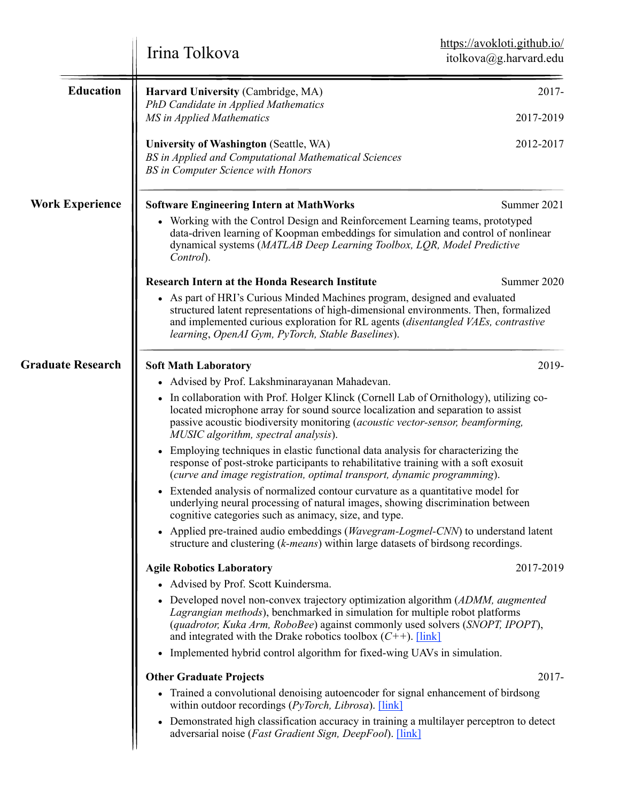|                          | Irina Tolkova                                                                                                                                                                                                                                                                                                        | https://avokloti.github.io/<br>itolkova@g.harvard.edu |  |
|--------------------------|----------------------------------------------------------------------------------------------------------------------------------------------------------------------------------------------------------------------------------------------------------------------------------------------------------------------|-------------------------------------------------------|--|
| <b>Education</b>         | Harvard University (Cambridge, MA)<br>PhD Candidate in Applied Mathematics                                                                                                                                                                                                                                           | 2017-                                                 |  |
|                          | MS in Applied Mathematics                                                                                                                                                                                                                                                                                            | 2017-2019                                             |  |
|                          | University of Washington (Seattle, WA)<br>BS in Applied and Computational Mathematical Sciences<br><b>BS</b> in Computer Science with Honors                                                                                                                                                                         | 2012-2017                                             |  |
| <b>Work Experience</b>   | <b>Software Engineering Intern at MathWorks</b>                                                                                                                                                                                                                                                                      | Summer 2021                                           |  |
|                          | • Working with the Control Design and Reinforcement Learning teams, prototyped<br>data-driven learning of Koopman embeddings for simulation and control of nonlinear<br>dynamical systems (MATLAB Deep Learning Toolbox, LQR, Model Predictive<br>Control).                                                          |                                                       |  |
|                          | <b>Research Intern at the Honda Research Institute</b>                                                                                                                                                                                                                                                               | Summer 2020                                           |  |
|                          | • As part of HRI's Curious Minded Machines program, designed and evaluated<br>structured latent representations of high-dimensional environments. Then, formalized<br>and implemented curious exploration for RL agents (disentangled VAEs, contrastive<br>learning, OpenAI Gym, PyTorch, Stable Baselines).         |                                                       |  |
| <b>Graduate Research</b> | <b>Soft Math Laboratory</b>                                                                                                                                                                                                                                                                                          | 2019-                                                 |  |
|                          | • Advised by Prof. Lakshminarayanan Mahadevan.                                                                                                                                                                                                                                                                       |                                                       |  |
|                          | • In collaboration with Prof. Holger Klinck (Cornell Lab of Ornithology), utilizing co-<br>located microphone array for sound source localization and separation to assist<br>passive acoustic biodiversity monitoring (acoustic vector-sensor, beamforming,<br>MUSIC algorithm, spectral analysis).                 |                                                       |  |
|                          | • Employing techniques in elastic functional data analysis for characterizing the<br>response of post-stroke participants to rehabilitative training with a soft exosuit<br>(curve and image registration, optimal transport, dynamic programming).                                                                  |                                                       |  |
|                          | Extended analysis of normalized contour curvature as a quantitative model for<br>underlying neural processing of natural images, showing discrimination between<br>cognitive categories such as animacy, size, and type.                                                                                             |                                                       |  |
|                          | • Applied pre-trained audio embeddings ( <i>Wavegram-Logmel-CNN</i> ) to understand latent<br>structure and clustering (k-means) within large datasets of birdsong recordings.                                                                                                                                       |                                                       |  |
|                          | <b>Agile Robotics Laboratory</b><br>• Advised by Prof. Scott Kuindersma.                                                                                                                                                                                                                                             | 2017-2019                                             |  |
|                          | • Developed novel non-convex trajectory optimization algorithm (ADMM, augmented<br>Lagrangian methods), benchmarked in simulation for multiple robot platforms<br>(quadrotor, Kuka Arm, RoboBee) against commonly used solvers (SNOPT, IPOPT),<br>and integrated with the Drake robotics toolbox $(C^{++})$ . [link] |                                                       |  |
|                          | • Implemented hybrid control algorithm for fixed-wing UAVs in simulation.                                                                                                                                                                                                                                            |                                                       |  |
|                          | <b>Other Graduate Projects</b>                                                                                                                                                                                                                                                                                       | 2017-                                                 |  |
|                          | • Trained a convolutional denoising autoencoder for signal enhancement of birdsong<br>within outdoor recordings ( $PyTorch$ , Librosa). [link]                                                                                                                                                                       |                                                       |  |
|                          | • Demonstrated high classification accuracy in training a multilayer perceptron to detect<br>adversarial noise (Fast Gradient Sign, DeepFool). [link]                                                                                                                                                                |                                                       |  |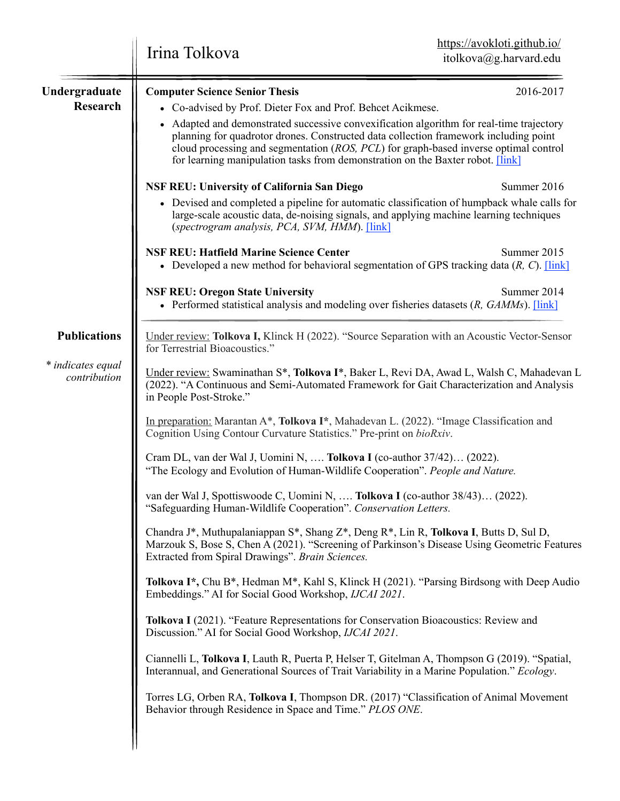|                                   | https://avokloti.github.io/<br>Irina Tolkova<br>itolkova@g.harvard.edu                                                                                                                                                                                                                                                                                     |             |  |
|-----------------------------------|------------------------------------------------------------------------------------------------------------------------------------------------------------------------------------------------------------------------------------------------------------------------------------------------------------------------------------------------------------|-------------|--|
| Undergraduate<br><b>Research</b>  | <b>Computer Science Senior Thesis</b><br>• Co-advised by Prof. Dieter Fox and Prof. Behcet Acikmese.                                                                                                                                                                                                                                                       | 2016-2017   |  |
|                                   | • Adapted and demonstrated successive convexification algorithm for real-time trajectory<br>planning for quadrotor drones. Constructed data collection framework including point<br>cloud processing and segmentation (ROS, PCL) for graph-based inverse optimal control<br>for learning manipulation tasks from demonstration on the Baxter robot. [link] |             |  |
|                                   | <b>NSF REU: University of California San Diego</b>                                                                                                                                                                                                                                                                                                         | Summer 2016 |  |
|                                   | • Devised and completed a pipeline for automatic classification of humpback whale calls for<br>large-scale acoustic data, de-noising signals, and applying machine learning techniques<br>(spectrogram analysis, PCA, SVM, HMM). [link]                                                                                                                    |             |  |
|                                   | <b>NSF REU: Hatfield Marine Science Center</b><br>• Developed a new method for behavioral segmentation of GPS tracking data $(R, C)$ . [link]                                                                                                                                                                                                              | Summer 2015 |  |
|                                   | <b>NSF REU: Oregon State University</b><br>• Performed statistical analysis and modeling over fisheries datasets $(R, GAMMs)$ . [link]                                                                                                                                                                                                                     | Summer 2014 |  |
| <b>Publications</b>               | Under review: Tolkova I, Klinck H (2022). "Source Separation with an Acoustic Vector-Sensor<br>for Terrestrial Bioacoustics."                                                                                                                                                                                                                              |             |  |
| * indicates equal<br>contribution | Under review: Swaminathan S*, Tolkova I*, Baker L, Revi DA, Awad L, Walsh C, Mahadevan L<br>(2022). "A Continuous and Semi-Automated Framework for Gait Characterization and Analysis<br>in People Post-Stroke."                                                                                                                                           |             |  |
|                                   | In preparation: Marantan A*, Tolkova I*, Mahadevan L. (2022). "Image Classification and<br>Cognition Using Contour Curvature Statistics." Pre-print on bioRxiv.                                                                                                                                                                                            |             |  |
|                                   | Cram DL, van der Wal J, Uomini N,  Tolkova I (co-author 37/42) (2022).<br>"The Ecology and Evolution of Human-Wildlife Cooperation". People and Nature.                                                                                                                                                                                                    |             |  |
|                                   | van der Wal J, Spottiswoode C, Uomini N,  Tolkova I (co-author 38/43) (2022).<br>"Safeguarding Human-Wildlife Cooperation". Conservation Letters.                                                                                                                                                                                                          |             |  |
|                                   | Chandra J*, Muthupalaniappan S*, Shang Z*, Deng R*, Lin R, Tolkova I, Butts D, Sul D,<br>Marzouk S, Bose S, Chen A (2021). "Screening of Parkinson's Disease Using Geometric Features<br>Extracted from Spiral Drawings". Brain Sciences.                                                                                                                  |             |  |
|                                   | Tolkova I*, Chu B*, Hedman M*, Kahl S, Klinck H (2021). "Parsing Birdsong with Deep Audio<br>Embeddings." AI for Social Good Workshop, IJCAI 2021.                                                                                                                                                                                                         |             |  |
|                                   | Tolkova I (2021). "Feature Representations for Conservation Bioacoustics: Review and<br>Discussion." AI for Social Good Workshop, IJCAI 2021.                                                                                                                                                                                                              |             |  |
|                                   | Ciannelli L, Tolkova I, Lauth R, Puerta P, Helser T, Gitelman A, Thompson G (2019). "Spatial,<br>Interannual, and Generational Sources of Trait Variability in a Marine Population." Ecology.                                                                                                                                                              |             |  |
|                                   | Torres LG, Orben RA, Tolkova I, Thompson DR. (2017) "Classification of Animal Movement<br>Behavior through Residence in Space and Time." PLOS ONE.                                                                                                                                                                                                         |             |  |
|                                   |                                                                                                                                                                                                                                                                                                                                                            |             |  |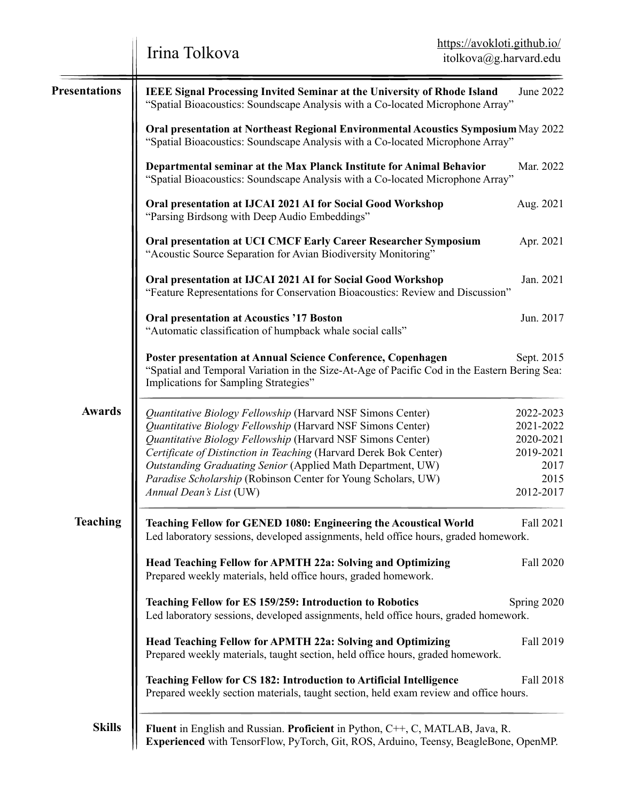|                      | Irina Tolkova                                                                                                                                                                                                                                                                                                                                                                                                             | https://avokloti.github.io/<br>itolkova@g.harvard.edu                         |  |
|----------------------|---------------------------------------------------------------------------------------------------------------------------------------------------------------------------------------------------------------------------------------------------------------------------------------------------------------------------------------------------------------------------------------------------------------------------|-------------------------------------------------------------------------------|--|
| <b>Presentations</b> | <b>IEEE Signal Processing Invited Seminar at the University of Rhode Island</b><br>"Spatial Bioacoustics: Soundscape Analysis with a Co-located Microphone Array"                                                                                                                                                                                                                                                         | June 2022                                                                     |  |
|                      | Oral presentation at Northeast Regional Environmental Acoustics Symposium May 2022<br>"Spatial Bioacoustics: Soundscape Analysis with a Co-located Microphone Array"                                                                                                                                                                                                                                                      |                                                                               |  |
|                      | Departmental seminar at the Max Planck Institute for Animal Behavior<br>"Spatial Bioacoustics: Soundscape Analysis with a Co-located Microphone Array"                                                                                                                                                                                                                                                                    | Mar. 2022                                                                     |  |
|                      | Oral presentation at IJCAI 2021 AI for Social Good Workshop<br>"Parsing Birdsong with Deep Audio Embeddings"                                                                                                                                                                                                                                                                                                              | Aug. 2021                                                                     |  |
|                      | Oral presentation at UCI CMCF Early Career Researcher Symposium<br>"Acoustic Source Separation for Avian Biodiversity Monitoring"                                                                                                                                                                                                                                                                                         | Apr. 2021                                                                     |  |
|                      | Oral presentation at IJCAI 2021 AI for Social Good Workshop<br>"Feature Representations for Conservation Bioacoustics: Review and Discussion"                                                                                                                                                                                                                                                                             | Jan. 2021                                                                     |  |
|                      | <b>Oral presentation at Acoustics '17 Boston</b><br>"Automatic classification of humpback whale social calls"                                                                                                                                                                                                                                                                                                             | Jun. 2017                                                                     |  |
|                      | <b>Poster presentation at Annual Science Conference, Copenhagen</b><br>"Spatial and Temporal Variation in the Size-At-Age of Pacific Cod in the Eastern Bering Sea:<br>Implications for Sampling Strategies"                                                                                                                                                                                                              | Sept. 2015                                                                    |  |
| <b>Awards</b>        | Quantitative Biology Fellowship (Harvard NSF Simons Center)<br>Quantitative Biology Fellowship (Harvard NSF Simons Center)<br>Quantitative Biology Fellowship (Harvard NSF Simons Center)<br>Certificate of Distinction in Teaching (Harvard Derek Bok Center)<br>Outstanding Graduating Senior (Applied Math Department, UW)<br>Paradise Scholarship (Robinson Center for Young Scholars, UW)<br>Annual Dean's List (UW) | 2022-2023<br>2021-2022<br>2020-2021<br>2019-2021<br>2017<br>2015<br>2012-2017 |  |
| <b>Teaching</b>      | Teaching Fellow for GENED 1080: Engineering the Acoustical World<br>Fall 2021<br>Led laboratory sessions, developed assignments, held office hours, graded homework.                                                                                                                                                                                                                                                      |                                                                               |  |
|                      | Head Teaching Fellow for APMTH 22a: Solving and Optimizing<br>Prepared weekly materials, held office hours, graded homework.                                                                                                                                                                                                                                                                                              | Fall 2020                                                                     |  |
|                      | Teaching Fellow for ES 159/259: Introduction to Robotics<br>Led laboratory sessions, developed assignments, held office hours, graded homework.                                                                                                                                                                                                                                                                           | Spring 2020                                                                   |  |
|                      | Head Teaching Fellow for APMTH 22a: Solving and Optimizing<br>Prepared weekly materials, taught section, held office hours, graded homework.                                                                                                                                                                                                                                                                              | Fall 2019                                                                     |  |
|                      | Teaching Fellow for CS 182: Introduction to Artificial Intelligence<br>Prepared weekly section materials, taught section, held exam review and office hours.                                                                                                                                                                                                                                                              | Fall 2018                                                                     |  |
| <b>Skills</b>        | Fluent in English and Russian. Proficient in Python, C++, C, MATLAB, Java, R.<br>Experienced with TensorFlow, PyTorch, Git, ROS, Arduino, Teensy, BeagleBone, OpenMP.                                                                                                                                                                                                                                                     |                                                                               |  |